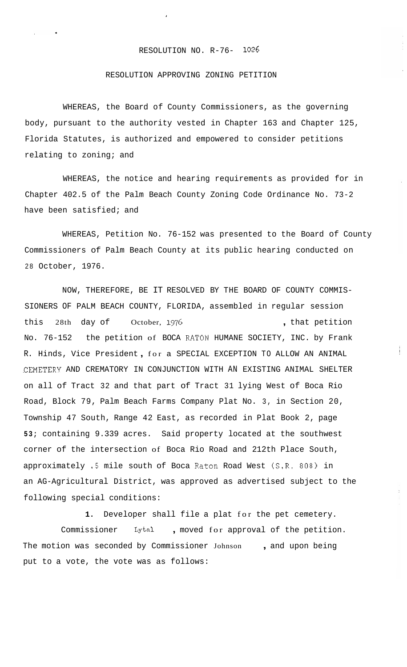## RESOLUTION NO. R-76- **1026**

## RESOLUTION APPROVING ZONING PETITION

WHEREAS, the Board of County Commissioners, as the governing body, pursuant to the authority vested in Chapter 163 and Chapter 125, Florida Statutes, is authorized and empowered to consider petitions relating to zoning; and

WHEREAS, the notice and hearing requirements as provided for in Chapter 402.5 of the Palm Beach County Zoning Code Ordinance No. 73-2 have been satisfied; and

WHEREAS, Petition No. 76-152 was presented to the Board of County Commissioners of Palm Beach County at its public hearing conducted on 28 October, 1976.

NOW, THEREFORE, BE IT RESOLVED BY THE BOARD OF COUNTY COMMIS-SIONERS OF PALM BEACH COUNTY, FLORIDA, assembled in regular session this 28th day of October, 1976 and the set of the set of the petition No. 76-152 the petition of BOCA RATON HUMANE SOCIETY, INC. by Frank R. Hinds, Vice President , for a SPECIAL EXCEPTION TO ALLOW AN ANIMAL .CEMETERY AND CREMATORY IN CONJUNCTION WITH AN EXISTING ANIMAL SHELTER on all of Tract 32 and that part of Tract 31 lying West of Boca Rio Road, Block 79, Palm Beach Farms Company Plat No. 3, in Section 20, Township 47 South, Range 42 East, as recorded in Plat Book 2, page **53;** containing 9.339 acres. Said property located at the southwest corner of the intersection of Boca Rio Road and 212th Place South, approximately .5 mile south of Boca Raton Road West (S.R. 808) in an AG-Agricultural District, was approved as advertised subject to the following special conditions:

Ť

**1.** Developer shall file a plat for the pet cemetery. Commissioner Lytal , moved for approval of the petition. The motion was seconded by Commissioner Johnson , and upon being put to a vote, the vote was as follows: